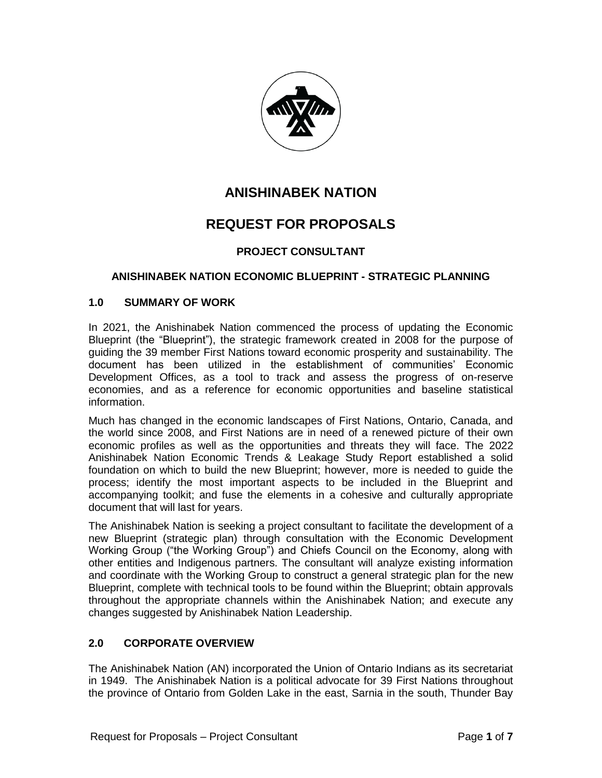

# **ANISHINABEK NATION**

# **REQUEST FOR PROPOSALS**

# **PROJECT CONSULTANT**

# **ANISHINABEK NATION ECONOMIC BLUEPRINT - STRATEGIC PLANNING**

# **1.0 SUMMARY OF WORK**

In 2021, the Anishinabek Nation commenced the process of updating the Economic Blueprint (the "Blueprint"), the strategic framework created in 2008 for the purpose of guiding the 39 member First Nations toward economic prosperity and sustainability. The document has been utilized in the establishment of communities' Economic Development Offices, as a tool to track and assess the progress of on-reserve economies, and as a reference for economic opportunities and baseline statistical information.

Much has changed in the economic landscapes of First Nations, Ontario, Canada, and the world since 2008, and First Nations are in need of a renewed picture of their own economic profiles as well as the opportunities and threats they will face. The 2022 Anishinabek Nation Economic Trends & Leakage Study Report established a solid foundation on which to build the new Blueprint; however, more is needed to guide the process; identify the most important aspects to be included in the Blueprint and accompanying toolkit; and fuse the elements in a cohesive and culturally appropriate document that will last for years.

The Anishinabek Nation is seeking a project consultant to facilitate the development of a new Blueprint (strategic plan) through consultation with the Economic Development Working Group ("the Working Group") and Chiefs Council on the Economy, along with other entities and Indigenous partners. The consultant will analyze existing information and coordinate with the Working Group to construct a general strategic plan for the new Blueprint, complete with technical tools to be found within the Blueprint; obtain approvals throughout the appropriate channels within the Anishinabek Nation; and execute any changes suggested by Anishinabek Nation Leadership.

# **2.0 CORPORATE OVERVIEW**

The Anishinabek Nation (AN) incorporated the Union of Ontario Indians as its secretariat in 1949. The Anishinabek Nation is a political advocate for 39 First Nations throughout the province of Ontario from Golden Lake in the east, Sarnia in the south, Thunder Bay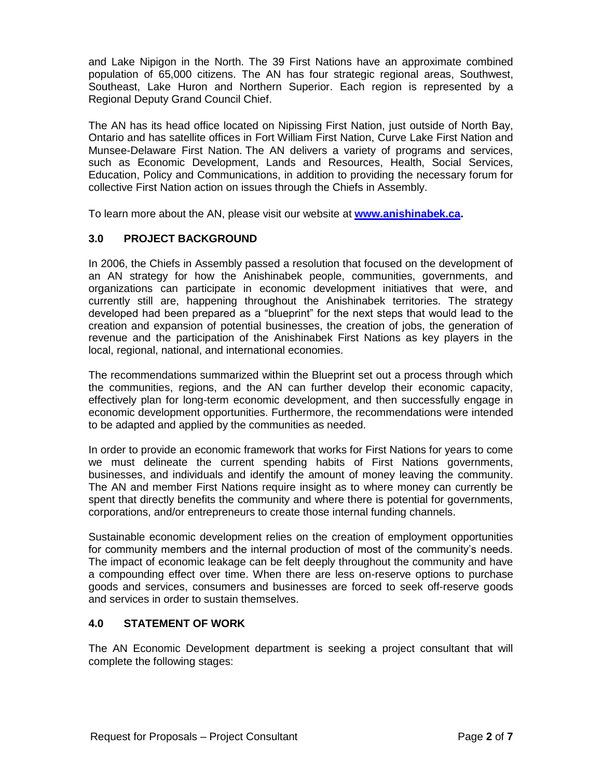and Lake Nipigon in the North. The 39 First Nations have an approximate combined population of 65,000 citizens. The AN has four strategic regional areas, Southwest, Southeast, Lake Huron and Northern Superior. Each region is represented by a Regional Deputy Grand Council Chief.

The AN has its head office located on Nipissing First Nation, just outside of North Bay, Ontario and has satellite offices in Fort William First Nation, Curve Lake First Nation and Munsee-Delaware First Nation. The AN delivers a variety of programs and services, such as Economic Development, Lands and Resources, Health, Social Services, Education, Policy and Communications, in addition to providing the necessary forum for collective First Nation action on issues through the Chiefs in Assembly.

To learn more about the AN, please visit our website at **[www.anishinabek.ca.](http://www.anishinabek.ca/)**

# **3.0 PROJECT BACKGROUND**

In 2006, the Chiefs in Assembly passed a resolution that focused on the development of an AN strategy for how the Anishinabek people, communities, governments, and organizations can participate in economic development initiatives that were, and currently still are, happening throughout the Anishinabek territories. The strategy developed had been prepared as a "blueprint" for the next steps that would lead to the creation and expansion of potential businesses, the creation of jobs, the generation of revenue and the participation of the Anishinabek First Nations as key players in the local, regional, national, and international economies.

The recommendations summarized within the Blueprint set out a process through which the communities, regions, and the AN can further develop their economic capacity, effectively plan for long-term economic development, and then successfully engage in economic development opportunities. Furthermore, the recommendations were intended to be adapted and applied by the communities as needed.

In order to provide an economic framework that works for First Nations for years to come we must delineate the current spending habits of First Nations governments, businesses, and individuals and identify the amount of money leaving the community. The AN and member First Nations require insight as to where money can currently be spent that directly benefits the community and where there is potential for governments, corporations, and/or entrepreneurs to create those internal funding channels.

Sustainable economic development relies on the creation of employment opportunities for community members and the internal production of most of the community's needs. The impact of economic leakage can be felt deeply throughout the community and have a compounding effect over time. When there are less on-reserve options to purchase goods and services, consumers and businesses are forced to seek off-reserve goods and services in order to sustain themselves.

# **4.0 STATEMENT OF WORK**

The AN Economic Development department is seeking a project consultant that will complete the following stages: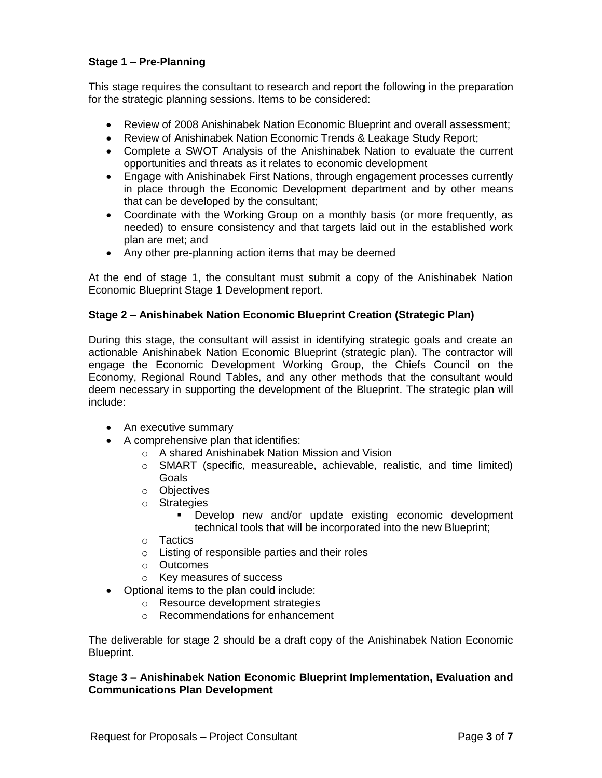# **Stage 1 – Pre-Planning**

This stage requires the consultant to research and report the following in the preparation for the strategic planning sessions. Items to be considered:

- Review of 2008 Anishinabek Nation Economic Blueprint and overall assessment;
- Review of Anishinabek Nation Economic Trends & Leakage Study Report;
- Complete a SWOT Analysis of the Anishinabek Nation to evaluate the current opportunities and threats as it relates to economic development
- Engage with Anishinabek First Nations, through engagement processes currently in place through the Economic Development department and by other means that can be developed by the consultant;
- Coordinate with the Working Group on a monthly basis (or more frequently, as needed) to ensure consistency and that targets laid out in the established work plan are met; and
- Any other pre-planning action items that may be deemed

At the end of stage 1, the consultant must submit a copy of the Anishinabek Nation Economic Blueprint Stage 1 Development report.

# **Stage 2 – Anishinabek Nation Economic Blueprint Creation (Strategic Plan)**

During this stage, the consultant will assist in identifying strategic goals and create an actionable Anishinabek Nation Economic Blueprint (strategic plan). The contractor will engage the Economic Development Working Group, the Chiefs Council on the Economy, Regional Round Tables, and any other methods that the consultant would deem necessary in supporting the development of the Blueprint. The strategic plan will include:

- An executive summary
- A comprehensive plan that identifies:
	- o A shared Anishinabek Nation Mission and Vision
	- o SMART (specific, measureable, achievable, realistic, and time limited) Goals
	- o Objectives
	- o Strategies
		- Develop new and/or update existing economic development technical tools that will be incorporated into the new Blueprint;
	- o Tactics
	- o Listing of responsible parties and their roles
	- o Outcomes
	- o Key measures of success
- Optional items to the plan could include:
	- o Resource development strategies
	- o Recommendations for enhancement

The deliverable for stage 2 should be a draft copy of the Anishinabek Nation Economic Blueprint.

### **Stage 3 – Anishinabek Nation Economic Blueprint Implementation, Evaluation and Communications Plan Development**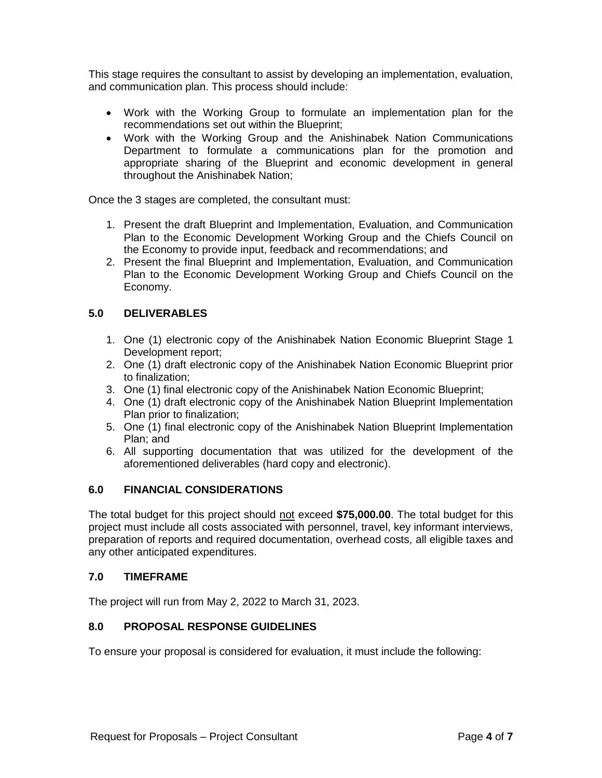This stage requires the consultant to assist by developing an implementation, evaluation, and communication plan. This process should include:

- Work with the Working Group to formulate an implementation plan for the recommendations set out within the Blueprint;
- Work with the Working Group and the Anishinabek Nation Communications Department to formulate a communications plan for the promotion and appropriate sharing of the Blueprint and economic development in general throughout the Anishinabek Nation;

Once the 3 stages are completed, the consultant must:

- 1. Present the draft Blueprint and Implementation, Evaluation, and Communication Plan to the Economic Development Working Group and the Chiefs Council on the Economy to provide input, feedback and recommendations; and
- 2. Present the final Blueprint and Implementation, Evaluation, and Communication Plan to the Economic Development Working Group and Chiefs Council on the Economy.

# **5.0 DELIVERABLES**

- 1. One (1) electronic copy of the Anishinabek Nation Economic Blueprint Stage 1 Development report;
- 2. One (1) draft electronic copy of the Anishinabek Nation Economic Blueprint prior to finalization;
- 3. One (1) final electronic copy of the Anishinabek Nation Economic Blueprint;
- 4. One (1) draft electronic copy of the Anishinabek Nation Blueprint Implementation Plan prior to finalization;
- 5. One (1) final electronic copy of the Anishinabek Nation Blueprint Implementation Plan; and
- 6. All supporting documentation that was utilized for the development of the aforementioned deliverables (hard copy and electronic).

# **6.0 FINANCIAL CONSIDERATIONS**

The total budget for this project should not exceed **\$75,000.00**. The total budget for this project must include all costs associated with personnel, travel, key informant interviews, preparation of reports and required documentation, overhead costs, all eligible taxes and any other anticipated expenditures.

# **7.0 TIMEFRAME**

The project will run from May 2, 2022 to March 31, 2023.

# **8.0 PROPOSAL RESPONSE GUIDELINES**

To ensure your proposal is considered for evaluation, it must include the following: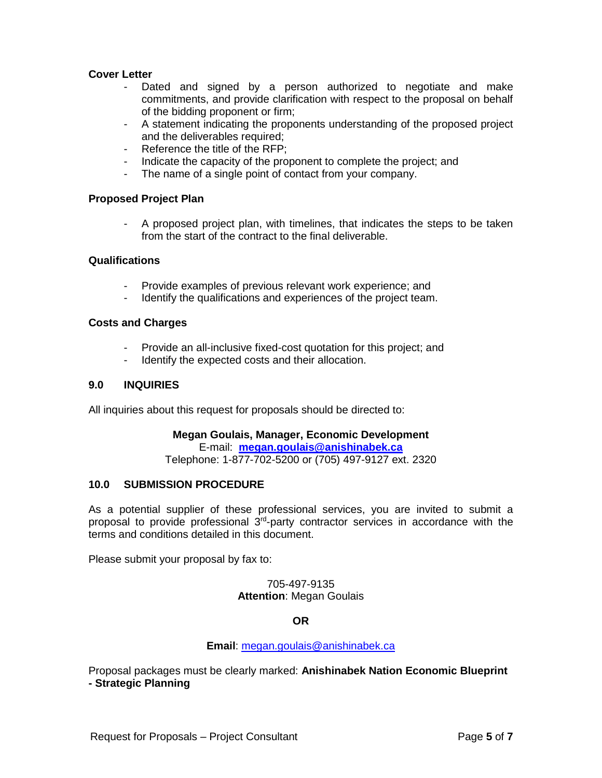### **Cover Letter**

- Dated and signed by a person authorized to negotiate and make commitments, and provide clarification with respect to the proposal on behalf of the bidding proponent or firm;
- A statement indicating the proponents understanding of the proposed project and the deliverables required:
- Reference the title of the RFP;
- Indicate the capacity of the proponent to complete the project; and
- The name of a single point of contact from your company.

#### **Proposed Project Plan**

- A proposed project plan, with timelines, that indicates the steps to be taken from the start of the contract to the final deliverable.

#### **Qualifications**

- Provide examples of previous relevant work experience; and
- Identify the qualifications and experiences of the project team.

#### **Costs and Charges**

- Provide an all-inclusive fixed-cost quotation for this project; and
- Identify the expected costs and their allocation.

### **9.0 INQUIRIES**

All inquiries about this request for proposals should be directed to:

#### **Megan Goulais, Manager, Economic Development**

E-mail: **[megan.goulais@anishinabek.ca](mailto:megan.goulais@anishinabek.ca)**

Telephone: 1-877-702-5200 or (705) 497-9127 ext. 2320

#### **10.0 SUBMISSION PROCEDURE**

As a potential supplier of these professional services, you are invited to submit a proposal to provide professional  $3<sup>rd</sup>$ -party contractor services in accordance with the terms and conditions detailed in this document.

Please submit your proposal by fax to:

705-497-9135 **Attention**: Megan Goulais

#### **OR**

#### **Email**: [megan.goulais@anishinabek.ca](mailto:megan.goulais@anishinabek.ca)

Proposal packages must be clearly marked: **Anishinabek Nation Economic Blueprint - Strategic Planning**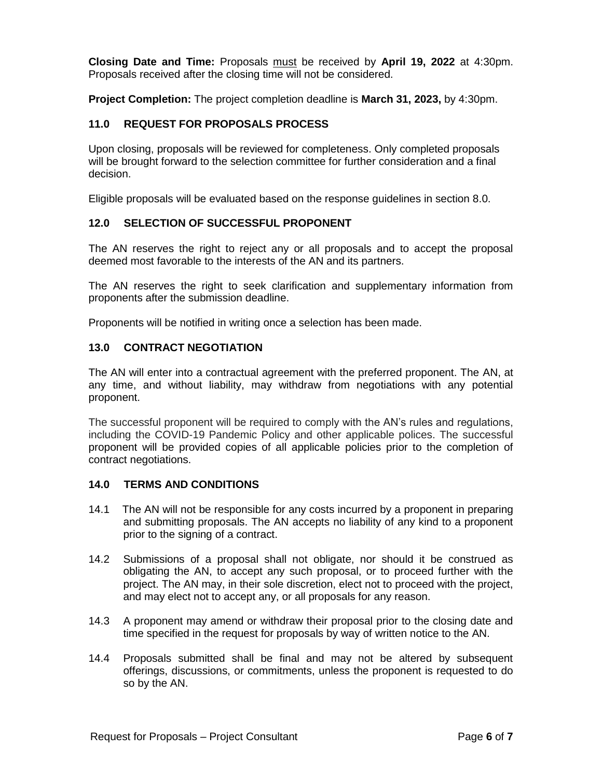**Closing Date and Time:** Proposals must be received by **April 19, 2022** at 4:30pm. Proposals received after the closing time will not be considered.

**Project Completion:** The project completion deadline is **March 31, 2023,** by 4:30pm.

# **11.0 REQUEST FOR PROPOSALS PROCESS**

Upon closing, proposals will be reviewed for completeness. Only completed proposals will be brought forward to the selection committee for further consideration and a final decision.

Eligible proposals will be evaluated based on the response guidelines in section 8.0.

# **12.0 SELECTION OF SUCCESSFUL PROPONENT**

The AN reserves the right to reject any or all proposals and to accept the proposal deemed most favorable to the interests of the AN and its partners.

The AN reserves the right to seek clarification and supplementary information from proponents after the submission deadline.

Proponents will be notified in writing once a selection has been made.

# **13.0 CONTRACT NEGOTIATION**

The AN will enter into a contractual agreement with the preferred proponent. The AN, at any time, and without liability, may withdraw from negotiations with any potential proponent.

The successful proponent will be required to comply with the AN's rules and regulations, including the COVID-19 Pandemic Policy and other applicable polices. The successful proponent will be provided copies of all applicable policies prior to the completion of contract negotiations.

# **14.0 TERMS AND CONDITIONS**

- 14.1 The AN will not be responsible for any costs incurred by a proponent in preparing and submitting proposals. The AN accepts no liability of any kind to a proponent prior to the signing of a contract.
- 14.2 Submissions of a proposal shall not obligate, nor should it be construed as obligating the AN, to accept any such proposal, or to proceed further with the project. The AN may, in their sole discretion, elect not to proceed with the project, and may elect not to accept any, or all proposals for any reason.
- 14.3 A proponent may amend or withdraw their proposal prior to the closing date and time specified in the request for proposals by way of written notice to the AN.
- 14.4 Proposals submitted shall be final and may not be altered by subsequent offerings, discussions, or commitments, unless the proponent is requested to do so by the AN.